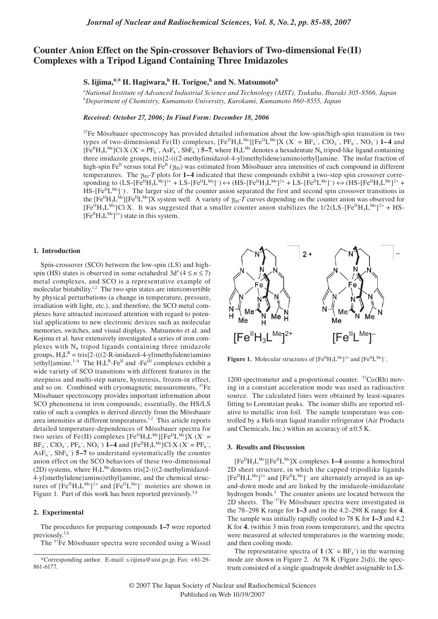# **Counter Anion Effect on the Spin-crossover Behaviors of Two-dimensional Fe(II) Complexes with a Tripod Ligand Containing Three Imidazoles**

## $\mathbf S$ . Iijima, $^{*,\mathrm{a}}$  H. Hagiwara, $^{\mathrm{b}}$  H. Torigoe, $^{\mathrm{b}}$  and N. Matsumoto $^{\mathrm{b}}$

a *National Institute of Advanced Industrial Science and Technology (AIST), Tsukuba, Ibaraki 305-8566, Japan*  b *Department of Chemistry, Kumamoto University, Kurokami, Kumamoto 860-8555, Japan*

#### *Received: October 27, 2006; In Final Form: December 18, 2006*

 $57$ Fe Mössbauer spectroscopy has provided detailed information about the low-spin/high-spin transition in two types of two-dimensional Fe(II) complexes,  $[Fe^{II}H_3L^{Me}][Fe^{II}L^{Me}]X$  ( $X^-$  = BF<sub>4</sub><sup>-</sup>, ClO<sub>4</sub><sup>-</sup>, PF<sub>6</sub><sup>-</sup>, NO<sub>3</sub><sup>-</sup>) **1–4** and  $[Fe^{II}H_3L^{Me}$  Cl·X (X<sup>-</sup> = PF<sub>6</sub><sup>-</sup>, AsF<sub>6</sub><sup>-</sup>, SbF<sub>6</sub><sup>-</sup>) 5–7, where H<sub>3</sub>L<sup>Me</sup> denotes a hexadentate N<sub>6</sub> tripod-like ligand containing three imidazole groups, tris[2-(((2-methylimidazol-4-yl)methylidene)amino)ethyl]amine. The molar fraction of high-spin Fe<sup>II</sup> versus total Fe<sup>II</sup> ( $\gamma_{H5}$ ) was estimated from Mössbauer area intensities of each compound in different temperatures. The  $\gamma_{HST}$  plots for 1–4 indicated that these compounds exhibit a two-step spin crossover corresponding to  $(LS\text{-}[Fe^{II}H_3L^{Me}]^{2+} + LS\text{-}[Fe^{II}L^{Me}]^{-}) \leftrightarrow (HS\text{-}[Fe^{II}H_3L^{Me}]^{2+} + LS\text{-}[Fe^{II}L^{Me}]^{-}) \leftrightarrow (HS\text{-}[Fe^{II}H_3L^{Me}]^{2+} + LS\text{-}[Fe^{II}H_3L^{Me}]^{2+}$  $HS-[Fe^{II}L^{Me}]^-$ ). The larger size of the counter anion separated the first and second spin crossover transitions in the [Fe<sup>II</sup>H<sub>3</sub>L<sup>Me</sup>][Fe<sup>II</sup>L<sup>Me</sup>]X system well. A variety of γ<sub>HS</sub>-*T* curves depending on the counter anion was observed for  $[Fe^{II}H_3L^{Me}]$ Cl·X. It was suggested that a smaller counter anion stabilizes the 1/2(LS- $[Fe^{II}H_3L^{Me}]^{2+}$  + HS- $[Fe^{II}H<sub>3</sub>L<sup>Me</sup>]<sup>2+</sup>)$  state in this system.

### **1. Introduction**

Spin-crossover (SCO) between the low-spin (LS) and highspin (HS) states is observed in some octahedral  $3d^n (4 \le n \le 7)$ metal complexes, and SCO is a representative example of molecular bistability.<sup>1,2</sup> The two spin states are interconvertible by physical perturbations (a change in temperature, pressure, irradiation with light, etc.), and therefore, the SCO metal complexes have attracted increased attention with regard to potential applications to new electronic devices such as molecular memories, switches, and visual displays. Matsumoto et al. and Kojima et al. have extensively investigated a series of iron complexes with  $N_6$  tripod ligands containing three imidazole groups,  $H_3L^R$  = tris[2-(((2-R-imidazol-4-yl)methylidene)amino ) ethyl] amine.<sup>3-8</sup> The  $H_3L^R$ -Fe<sup>II</sup> and -Fe<sup>III</sup> complexes exhibit a wide variety of SCO transitions with different features in the steepness and multi-step nature, hysteresis, frozen-in effect, and so on. Combined with cryomagnetic measurements, <sup>57</sup>Fe Mössbauer spectroscopy provides important information about SCO phenomena in iron compounds; essentially, the HS/LS ratio of such a complex is derived directly from the Mössbauer area intensities at different temperatures.<sup>1,2</sup> This article reports detailed temperature-dependences of Mössbauer spectra for two series of Fe(II) complexes  $[Fe^{II}H_3L^{Me}][Fe^{II}L^{Me}]X (X^- =$  $BF_4^-$ ,  $ClO_4^-$ ,  $PF_6^-$ ,  $NO_3^-$ ) **1–4** and  $[Fe^{II}H_3L^{Me}]Cl·X$  (X<sup>-</sup> =  $PF_6^-$ ,  $\text{AsF}_6^-$ ,  $\text{SbF}_6^-$ ) 5–7 to understand systematically the counter anion effect on the SCO behaviors of these two-dimensional (2D) systems, where  $H_3L^{Me}$  denotes tris[2-(((2-methylimidazol-4-yl)methylidene)amino)ethyl]amine, and the chemical structures of  $[Fe^{II}H_3L^{Me}]^{2+}$  and  $[Fe^{II}L^{Me}]^{-}$  moieties are shown in Figure 1. Part of this work has been reported previously.<sup>5,8</sup>

## **2. Experimental**

The procedures for preparing compounds **1–7** were reported previously.5,8

The 57Fe Mössbauer spectra were recorded using a Wissel



**Figure 1.** Molecular structures of  $[Fe^{II}H_3L^{Me}]^{2+}$  and  $[Fe^{II}L^{Me}]^{-}$ .

1200 spectrometer and a proportional counter.  ${}^{57}Co(Rh)$  moving in a constant acceleration mode was used as radioactive source. The calculated lines were obtained by least-squares fitting to Lorentzian peaks. The isomer shifts are reported relative to metallic iron foil. The sample temperature was controlled by a Heli-tran liquid transfer refrigerator (Air Products and Chemicals, Inc.) within an accuracy of  $\pm 0.5$  K.

#### **3. Results and Discussion**

 $[Fe^{II}H_3L^{Me}][Fe^{II}L^{Me}]X$  complexes 1–4 assume a homochiral 2D sheet structure, in which the capped tripodlike ligands  $[Fe^{II}H<sub>3</sub>L<sup>Me</sup>]<sup>2+</sup>$  and  $[Fe^{II}L<sup>Me</sup>]$ <sup>-</sup> are alternately arrayed in an upand-down mode and are linked by the imidazole-imidazolate hydrogen bonds.<sup>5</sup> The counter anions are located between the 2D sheets. The 57Fe Mössbauer spectra were investigated in the 78–298 K range for **1–3** and in the 4.2–298 K range for **4**. The sample was initially rapidly cooled to 78 K for **1–3** and 4.2 K for **4**, (within 3 min from room temperature), and the spectra were measured at selected temperatures in the warming mode, and then cooling mode.

The representative spectra of  $1 (X = BF_4^-)$  in the warming mode are shown in Figure 2. At 78 K (Figure 2(d)), the spectrum consisted of a single quadrupole doublet assignable to LS-

<sup>\*</sup>Corresponding author. E-mail: s.iijima@aist.go.jp. Fax: +81-29- 861-6177.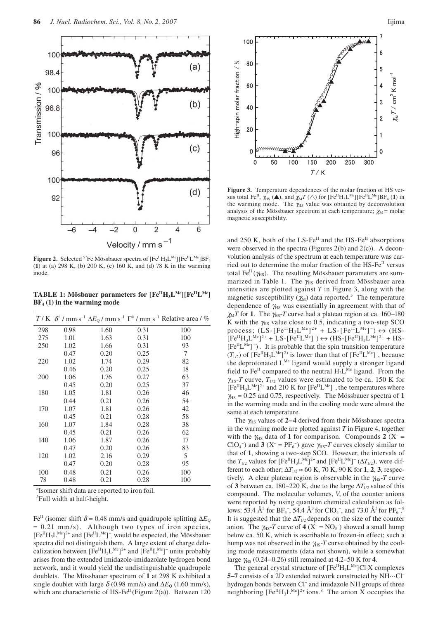

Figure 2. Selected <sup>57</sup>Fe Mössbauer spectra of  $[Fe^{II}H_3L^{Me}][Fe^{II}L^{Me}]BF_4$ (**1**) at (a) 298 K, (b) 200 K, (c) 160 K, and (d) 78 K in the warming mode.

**TABLE 1: Mösbauer parameters for [Fe<sup>II</sup>H<sub>3</sub>L<sup>Me</sup>][Fe<sup>II</sup>L<sup>Me</sup>] BF4 (1) in the warming mode**

|     |      |      |      | $T/K \delta^a / \text{mm} \cdot \text{s}^{-1} \Delta E_0 / \text{mm} \text{ s}^{-1} \Gamma^b / \text{mm} \text{ s}^{-1}$ Relative area / % |
|-----|------|------|------|--------------------------------------------------------------------------------------------------------------------------------------------|
| 298 | 0.98 | 1.60 | 0.31 | 100                                                                                                                                        |
| 275 | 1.01 | 1.63 | 0.31 | 100                                                                                                                                        |
| 250 | 1.02 | 1.66 | 0.31 | 93                                                                                                                                         |
|     | 0.47 | 0.20 | 0.25 | 7                                                                                                                                          |
| 220 | 1.02 | 1.74 | 0.29 | 82                                                                                                                                         |
|     | 0.46 | 0.20 | 0.25 | 18                                                                                                                                         |
| 200 | 1.06 | 1.76 | 0.27 | 63                                                                                                                                         |
|     | 0.45 | 0.20 | 0.25 | 37                                                                                                                                         |
| 180 | 1.05 | 1.81 | 0.26 | 46                                                                                                                                         |
|     | 0.44 | 0.21 | 0.26 | 54                                                                                                                                         |
| 170 | 1.07 | 1.81 | 0.26 | 42                                                                                                                                         |
|     | 0.45 | 0.21 | 0.28 | 58                                                                                                                                         |
| 160 | 1.07 | 1.84 | 0.28 | 38                                                                                                                                         |
|     | 0.45 | 0.21 | 0.26 | 62                                                                                                                                         |
| 140 | 1.06 | 1.87 | 0.26 | 17                                                                                                                                         |
|     | 0.47 | 0.20 | 0.26 | 83                                                                                                                                         |
| 120 | 1.02 | 2.16 | 0.29 | 5                                                                                                                                          |
|     | 0.47 | 0.20 | 0.28 | 95                                                                                                                                         |
| 100 | 0.48 | 0.21 | 0.26 | 100                                                                                                                                        |
| 78  | 0.48 | 0.21 | 0.28 | 100                                                                                                                                        |

*a* Isomer shift data are reported to iron foil.

*b* Full width at half-height.

Fe<sup>II</sup> (isomer shift  $\delta$  = 0.48 mm/s and quadrupole splitting  $\Delta E$ <sub>O</sub>  $= 0.21$  mm/s). Although two types of iron species,  $[Fe^{II}H_3L^{Me}]^2$ <sup>+</sup> and  $[Fe^{II}L^{Me}]^-$ , would be expected, the Mössbauer spectra did not distinguish them. A large extent of charge delocalization between  $[Fe^{II}H_3L^{Me}]^{2+}$  and  $[Fe^{II}L^{Me}]^{-}$  units probably arises from the extended imidazole-imidazolate hydrogen bond network, and it would yield the undistinguishable quadrupole doublets. The Mössbauer spectrum of **1** at 298 K exhibited a single doublet with large  $\delta$  (0.98 mm/s) and  $\Delta E_0$  (1.60 mm/s), which are characteristic of HS-Fe<sup>II</sup> (Figure 2(a)). Between 120



**Figure 3.** Temperature dependences of the molar fraction of HS versus total Fe<sup>II</sup>,  $\gamma_{\text{HS}}(\triangle)$ , and  $\gamma_{\text{M}}T(\triangle)$  for  $[Fe^{II}H_3L^{Me}][Fe^{II}L^{Me}]BF_4(1)$  in the warming mode. The  $\gamma_{\text{HS}}$  value was obtained by deconvolution analysis of the Mössbauer spectrum at each temperature;  $\chi_M$  = molar magnetic susceptibility.

and 250 K, both of the LS-Fe<sup>II</sup> and the HS-Fe<sup>II</sup> absorptions were observed in the spectra (Figures 2(b) and  $2(c)$ ). A deconvolution analysis of the spectrum at each temperature was carried out to determine the molar fraction of the HS-Fe<sup>II</sup> versus total Fe<sup>II</sup> ( $\gamma$ <sub>HS</sub>). The resulting Mössbauer parameters are summarized in Table 1. The  $\gamma_{\text{H}S}$  derived from Mössbauer area intensities are plotted against *T* in Figure 3, along with the magnetic susceptibility  $(\chi_M)$  data reported.<sup>5</sup> The temperature dependence of  $\gamma_{\text{HS}}$  was essentially in agreement with that of  $\chi_{\text{M}}$ *T* for 1. The  $\gamma_{\text{HS}}$ -*T* curve had a plateau region at ca. 160–180 K with the  $\gamma_{\text{H}S}$  value close to 0.5, indicating a two-step SCO process;  $(LS-[Fe^{II}H<sub>3</sub> L<sup>Me</sup>]<sup>2+</sup> + LS-[Fe^{II}L<sup>Me</sup>]<sup>-</sup>) \leftrightarrow (HS [Fe^{II}H<sub>3</sub>L<sup>Me</sup>]<sup>2+</sup> + LS-[Fe^{II}L<sup>Me</sup>]<sup>-</sup>) \leftrightarrow (HS-[Fe^{II}H<sub>3</sub>L<sup>Me</sup>]<sup>2+</sup> + HS [Fe^{II}L^{Me}]$ <sup>-</sup>). It is probable that the spin transition temperature  $(T_{1/2})$  of  $[Fe^{II}H_3L^{Me}]^{2+}$  is lower than that of  $[Fe^{II}L^{Me}]^{-}$ , because the deprotonated  $L^{Me}$  ligand would supply a stronger ligand field to Fe<sup>II</sup> compared to the neutral  $H_3L^{Me}$  ligand. From the  $\gamma_{\text{H}S}$ -*T* curve,  $T_{1/2}$  values were estimated to be ca. 150 K for  $[Fe^{II}H<sub>3</sub>L<sup>Me</sup>]<sup>2+</sup>$  and 210 K for  $[Fe^{II}L<sup>Me</sup>]$ <sup>-</sup>, the temperatures where  $\gamma_{\text{HS}} = 0.25$  and 0.75, respectively. The Mössbauer spectra of 1 in the warming mode and in the cooling mode were almost the same at each temperature.

The  $\gamma_{\text{Hs}}$  values of 2–4 derived from their Mössbauer spectra in the warming mode are plotted against *T* in Figure 4, together with the  $\gamma_{\text{Hs}}$  data of 1 for comparison. Compounds 2 (X<sup>-</sup> = ClO<sub>4</sub><sup>-</sup>) and **3** ( $X^-$  = PF<sub>6</sub><sup>-</sup>) gave  $\gamma_{HS}$ -T curves closely similar to that of **1**, showing a two-step SCO. However, the intervals of the  $T_{1/2}$  values for  $[Fe^{II}H_3L^{Me}]^{2+}$  and  $[Fe^{II}L^{Me}]^{-} (\Delta T_{1/2})$ , were different to each other;  $\Delta T_{1/2} \approx 60 \text{ K}$ , 70 K, 90 K for **1**, **2**, **3**, respectively. A clear plateau region is observable in the  $\gamma_{\text{H}S}$ -*T* curve of **3** between ca. 180–220 K, due to the large  $\Delta T_{1/2}$  value of this compound. The molecular volumes, *V*, of the counter anions were reported by using quantum chemical calculation as follows: 53.4 Å<sup>3</sup> for BF<sub>4</sub><sup>-</sup>, 54.4 Å<sup>3</sup> for ClO<sub>4</sub><sup>-</sup>, and 73.0 Å<sup>3</sup> for PF<sub>6</sub><sup>-8</sup> It is suggested that the  $\Delta T_{1/2}$  depends on the size of the counter anion. The  $\gamma_{\text{HS}}$ -*T* curve of **4** ( $X^-$  = NO<sub>3</sub><sup>-</sup>) showed a small hump below ca. 50 K, which is ascribable to frozen-in effect; such a hump was not observed in the  $\gamma_{\text{HS}}$ -*T* curve obtained by the cooling mode measurements (data not shown), while a somewhat large  $\gamma_{\text{HS}}$  (0.24–0.26) still remained at 4.2–50 K for 4.

The general crystal structure of  $[Fe^{II}H_3L^{Me}$  Cl·X complexes **5–7** consists of a 2D extended network constructed by NH···Cl– hydrogen bonds between Cl<sup>-</sup> and imidazole NH groups of three neighboring  $[Fe^{II}H_3L^{Me}]^{2+}$  ions.<sup>8</sup> The anion X occupies the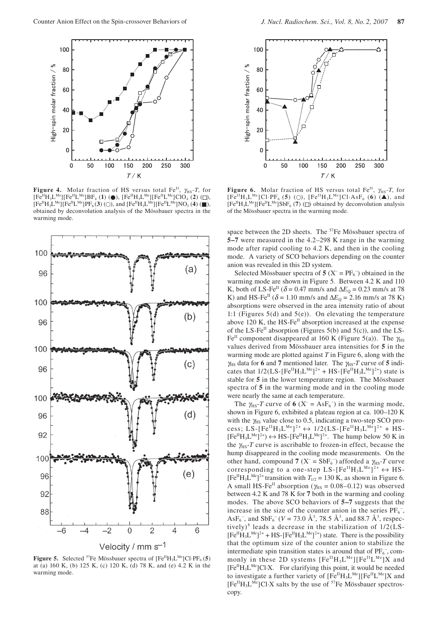

**Figure 4.** Molar fraction of HS versus total Fe<sup>II</sup>,  $\gamma_{\text{H}S}$ -*T*, for  $[Fe^{II}H_3L^{Me}][Fe^{II}L^{Me}]BF_4$  (1) ( $\bullet$ ),  $[Fe^{II}H_3L^{Me}][Fe^{II}L^{Me}]ClO_4$  (2) ( $\Box$ ),  $[Fe^{II}H<sub>3</sub>L<sup>Me</sup>][Fe^{II}L<sup>Me</sup>]PF<sub>6</sub>(3)$  (O), and  $[Fe^{II}H<sub>3</sub>L<sup>Me</sup>][Fe^{II}L<sup>Me</sup>]NO<sub>3</sub>(4)$  ( $\blacksquare$ ), obtained by deconvolution analysis of the Mössbauer spectra in the warming mode.



**Figure 5.** Selected <sup>57</sup>Fe Mössbauer spectra of  $[Fe^{II}H<sub>3</sub>L<sup>Me</sup>]Cl<sub>°</sub>PF<sub>6</sub>(5)$ at (a) 160 K, (b) 125 K, (c) 120 K, (d) 78 K, and (e) 4.2 K in the warming mode.



**Figure 6.** Molar fraction of HS versus total Fe<sup>II</sup>, γ<sub>HS</sub>-T, for  $[Fe^{II}H_3L^{Me}$ ]Cl·PF<sub>6</sub> (5) (O),  $[Fe^{II}H_3L^{Me}$ ]Cl·AsF<sub>6</sub> (6) ( $\triangle$ ), and  $[Fe^{II}H_3L^{Me}][Fe^{II}L^{Me}]SbF_6$  (7) ( $\square$ ) obtained by deconvolution analysis of the Mössbauer spectra in the warming mode.

space between the 2D sheets. The <sup>57</sup>Fe Mössbauer spectra of **5–7** were measured in the 4.2–298 K range in the warming mode after rapid cooling to 4.2 K, and then in the cooling mode. A variety of SCO behaviors depending on the counter anion was revealed in this 2D system.

Selected Mössbauer spectra of  $5 (X^- = PF_6^-)$  obtained in the warming mode are shown in Figure 5. Between 4.2 K and 110 K, both of LS-Fe<sup>II</sup> ( $\delta$  = 0.47 mm/s and  $\Delta E$ <sub>Q</sub> = 0.23 mm/s at 78 K) and HS-Fe<sup>II</sup> ( $\delta$  = 1.10 mm/s and  $\Delta E_{\rm Q}$  = 2.16 mm/s at 78 K) absorptions were observed in the area intensity ratio of about 1:1 (Figures 5(d) and 5(e)). On elevating the temperature above 120 K, the  $HS-Fe^{II}$  absorption increased at the expense of the LS-Fe<sup>II</sup> absorption (Figures 5(b) and 5(c)), and the LS-Fe<sup>II</sup> component disappeared at 160 K (Figure 5(a)). The  $\gamma_{\text{HS}}$ values derived from Mössbauer area intensities for **5** in the warming mode are plotted against *T* in Figure 6, along with the  $γ_{\text{H}s}$  data for 6 and 7 mentioned later. The  $γ_{\text{H}s}$ -T curve of 5 indicates that  $1/2(LS-[Fe^{II}H_3L^{Me}]^{2+} + HS-[Fe^{II}H_3L^{Me}]^{2+})$  state is stable for **5** in the lower temperature region. The Mössbauer spectra of **5** in the warming mode and in the cooling mode were nearly the same at each temperature.

The  $\gamma_{\text{H}S}$ -*T* curve of **6** (X<sup>-</sup> = AsF<sub>6</sub><sup>-</sup>) in the warming mode, shown in Figure 6, exhibited a plateau region at ca. 100–120 K with the  $\gamma_{\text{H}S}$  value close to 0.5, indicating a two-step SCO process; LS- $[Fe^{II}H_3L^{Me}]^{2+} \leftrightarrow 1/2(LS-[Fe^{II}H_3L^{Me}]^{2+} + HS$  $[Fe^{II}H<sub>3</sub>L<sup>Me</sup>]<sup>2+</sup>) \leftrightarrow HS-[Fe^{II}H<sub>3</sub>L<sup>Me</sup>]<sup>2+</sup>$ . The hump below 50 K in the  $\gamma_{\text{H}S}$ -*T* curve is ascribable to frozen-in effect, because the hump disappeared in the cooling mode measurements. On the other hand, compound **7** ( $X^-$  = SbF<sub>6</sub><sup>-</sup>) afforded a  $\gamma_{HS}$ -*T* curve corresponding to a one-step LS- $[Fe^{II}H_3L^{Me}]^{2+} \leftrightarrow HS$  $[Fe^{II}H<sub>3</sub>L<sup>Me</sup>]<sup>2+</sup>$  transition with  $T<sub>1/2</sub> = 130$  K, as shown in Figure 6. A small HS-Fe<sup>II</sup> absorption ( $\gamma_{\text{HS}} = 0.08 - 0.12$ ) was observed between 4.2 K and 78 K for **7** both in the warming and cooling modes. The above SCO behaviors of **5–7** suggests that the increase in the size of the counter anion in the series  $PF_6^-$ ,  $\text{AsF}_6^-$ , and  $\text{SbF}_6^-$  (*V* = 73.0 Å<sup>3</sup>, 78.5 Å<sup>3</sup>, and 88.7 Å<sup>3</sup>, respectively)<sup>8</sup> leads a decrease in the stabilization of  $1/2$ (LS- $[Fe^{II}H_3L^{Me}]^2$ <sup>+</sup> + HS- $[Fe^{II}H_3L^{Me}]^2$ <sup>+</sup>) state. There is the possibility that the optimum size of the counter anion to stabilize the intermediate spin transition states is around that of  $PF_6^-$ , commonly in these 2D systems  $[Fe^{II}H_3L^{Me}][Fe^{II}L^{Me}]X$  and  $[Fe^{II}H<sub>3</sub> L<sup>Me</sup>]Cl·X$ . For clarifying this point, it would be needed to investigate a further variety of  $[Fe^{II}H_3L^{Me}][Fe^{II}L^{Me}]X$  and  $[Fe^{II}H<sub>3</sub>L<sup>Me</sup>]Cl·X$  salts by the use of <sup>57</sup>Fe Mössbauer spectroscopy.